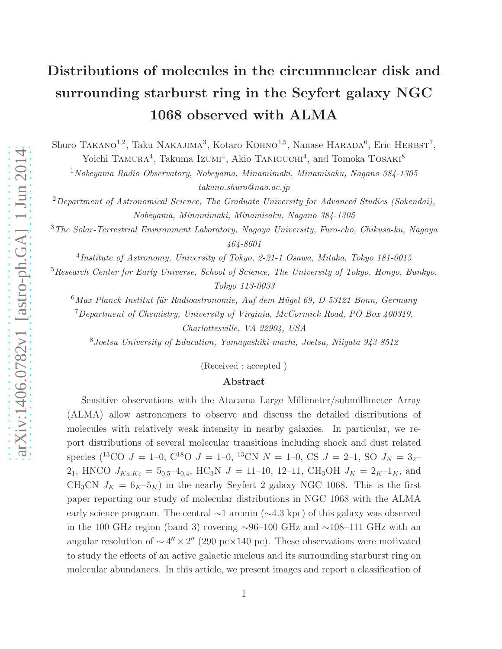# Distributions of molecules in the circumnuclear disk and surrounding starburst ring in the Seyfert galaxy NGC 1068 observed with ALMA

Shuro TAKANO<sup>1,2</sup>, Taku NAKAJIMA<sup>3</sup>, Kotaro KOHNO<sup>4,5</sup>, Nanase HARADA<sup>6</sup>, Eric HERBST<sup>7</sup>, Yoichi TAMURA<sup>4</sup>, Takuma Izumi<sup>4</sup>, Akio TANIGUCHI<sup>4</sup>, and Tomoka TOSAKI<sup>8</sup>

<sup>1</sup>Nobeyama Radio Observatory, Nobeyama, Minamimaki, Minamisaku, Nagano 384-1305 takano.shuro@nao.ac.jp

 $2$ Department of Astronomical Science, The Graduate University for Advanced Studies (Sokendai), Nobeyama, Minamimaki, Minamisaku, Nagano 384-1305

<sup>3</sup>The Solar-Terrestrial Environment Laboratory, Nagoya University, Furo-cho, Chikusa-ku, Nagoya 464-8601

4 Institute of Astronomy, University of Tokyo, 2-21-1 Osawa, Mitaka, Tokyo 181-0015

<sup>5</sup>Research Center for Early Universe, School of Science, The University of Tokyo, Hongo, Bunkyo, Tokyo 113-0033

 $6$ Max-Planck-Institut für Radioastronomie, Auf dem Hügel 69, D-53121 Bonn, Germany

<sup>7</sup>Department of Chemistry, University of Virginia, McCormick Road, PO Box 400319,

Charlottesville, VA 22904, USA

<sup>8</sup>Joetsu University of Education, Yamayashiki-machi, Joetsu, Niigata 943-8512

(Received ; accepted )

#### Abstract

Sensitive observations with the Atacama Large Millimeter/submillimeter Array (ALMA) allow astronomers to observe and discuss the detailed distributions of molecules with relatively weak intensity in nearby galaxies. In particular, we report distributions of several molecular transitions including shock and dust related species (<sup>13</sup>CO  $J = 1-0$ , C<sup>18</sup>O  $J = 1-0$ , <sup>13</sup>CN  $N = 1-0$ , CS  $J = 2-1$ , SO  $J_N = 3<sub>2</sub>$ 2<sub>1</sub>, HNCO  $J_{Ka,Kc} = 5_{0,5} - 4_{0,4}$ , HC<sub>3</sub>N  $J = 11$ -10, 12-11, CH<sub>3</sub>OH  $J_K = 2_K - 1_K$ , and CH<sub>3</sub>CN  $J_K = 6_K-5_K$ ) in the nearby Seyfert 2 galaxy NGC 1068. This is the first paper reporting our study of molecular distributions in NGC 1068 with the ALMA early science program. The central ∼1 arcmin (∼4.3 kpc) of this galaxy was observed in the 100 GHz region (band 3) covering ∼96–100 GHz and ∼108–111 GHz with an angular resolution of  $\sim 4'' \times 2''$  (290 pc×140 pc). These observations were motivated to study the effects of an active galactic nucleus and its surrounding starburst ring on molecular abundances. In this article, we present images and report a classification of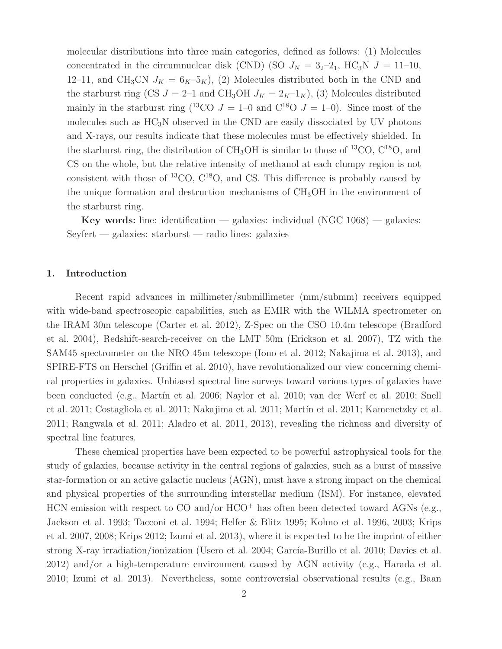molecular distributions into three main categories, defined as follows: (1) Molecules concentrated in the circumnuclear disk (CND) (SO  $J<sub>N</sub> = 3<sub>2</sub> - 2<sub>1</sub>$ , HC<sub>3</sub>N  $J = 11-10$ , 12–11, and CH<sub>3</sub>CN  $J_K = 6_K-5_K$ , (2) Molecules distributed both in the CND and the starburst ring (CS  $J = 2-1$  and CH<sub>3</sub>OH  $J_K = 2_K - 1_K$ ), (3) Molecules distributed mainly in the starburst ring (<sup>13</sup>CO  $J = 1-0$  and C<sup>18</sup>O  $J = 1-0$ ). Since most of the molecules such as  $HC_3N$  observed in the CND are easily dissociated by UV photons and X-rays, our results indicate that these molecules must be effectively shielded. In the starburst ring, the distribution of  $CH<sub>3</sub>OH$  is similar to those of <sup>13</sup>CO,  $C<sup>18</sup>O$ , and CS on the whole, but the relative intensity of methanol at each clumpy region is not consistent with those of  ${}^{13}$ CO,  $C^{18}$ O, and CS. This difference is probably caused by the unique formation and destruction mechanisms of  $CH<sub>3</sub>OH$  in the environment of the starburst ring.

Key words: line: identification — galaxies: individual  $(NGC 1068)$  — galaxies: Seyfert — galaxies: starburst — radio lines: galaxies

#### 1. Introduction

Recent rapid advances in millimeter/submillimeter (mm/submm) receivers equipped with wide-band spectroscopic capabilities, such as EMIR with the WILMA spectrometer on the IRAM 30m telescope (Carter et al. 2012), Z-Spec on the CSO 10.4m telescope (Bradford et al. 2004), Redshift-search-receiver on the LMT 50m (Erickson et al. 2007), TZ with the SAM45 spectrometer on the NRO 45m telescope (Iono et al. 2012; Nakajima et al. 2013), and SPIRE-FTS on Herschel (Griffin et al. 2010), have revolutionalized our view concerning chemical properties in galaxies. Unbiased spectral line surveys toward various types of galaxies have been conducted (e.g., Martín et al. 2006; Naylor et al. 2010; van der Werf et al. 2010; Snell et al. 2011; Costagliola et al. 2011; Nakajima et al. 2011; Martín et al. 2011; Kamenetzky et al. 2011; Rangwala et al. 2011; Aladro et al. 2011, 2013), revealing the richness and diversity of spectral line features.

These chemical properties have been expected to be powerful astrophysical tools for the study of galaxies, because activity in the central regions of galaxies, such as a burst of massive star-formation or an active galactic nucleus (AGN), must have a strong impact on the chemical and physical properties of the surrounding interstellar medium (ISM). For instance, elevated HCN emission with respect to CO and/or  $HCO<sup>+</sup>$  has often been detected toward AGNs (e.g., Jackson et al. 1993; Tacconi et al. 1994; Helfer & Blitz 1995; Kohno et al. 1996, 2003; Krips et al. 2007, 2008; Krips 2012; Izumi et al. 2013), where it is expected to be the imprint of either strong X-ray irradiation/ionization (Usero et al. 2004; García-Burillo et al. 2010; Davies et al. 2012) and/or a high-temperature environment caused by AGN activity (e.g., Harada et al. 2010; Izumi et al. 2013). Nevertheless, some controversial observational results (e.g., Baan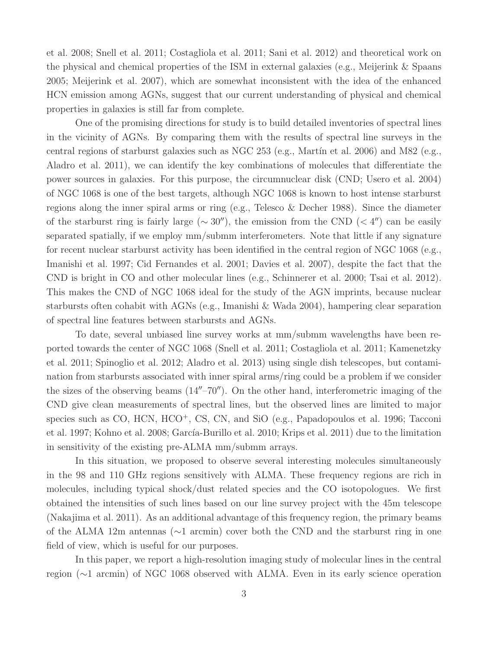et al. 2008; Snell et al. 2011; Costagliola et al. 2011; Sani et al. 2012) and theoretical work on the physical and chemical properties of the ISM in external galaxies (e.g., Meijerink & Spaans 2005; Meijerink et al. 2007), which are somewhat inconsistent with the idea of the enhanced HCN emission among AGNs, suggest that our current understanding of physical and chemical properties in galaxies is still far from complete.

One of the promising directions for study is to build detailed inventories of spectral lines in the vicinity of AGNs. By comparing them with the results of spectral line surveys in the central regions of starburst galaxies such as NGC 253 (e.g., Martín et al. 2006) and M82 (e.g., Aladro et al. 2011), we can identify the key combinations of molecules that differentiate the power sources in galaxies. For this purpose, the circumnuclear disk (CND; Usero et al. 2004) of NGC 1068 is one of the best targets, although NGC 1068 is known to host intense starburst regions along the inner spiral arms or ring (e.g., Telesco & Decher 1988). Since the diameter of the starburst ring is fairly large ( $\sim 30''$ ), the emission from the CND ( $\lt 4''$ ) can be easily separated spatially, if we employ mm/submm interferometers. Note that little if any signature for recent nuclear starburst activity has been identified in the central region of NGC 1068 (e.g., Imanishi et al. 1997; Cid Fernandes et al. 2001; Davies et al. 2007), despite the fact that the CND is bright in CO and other molecular lines (e.g., Schinnerer et al. 2000; Tsai et al. 2012). This makes the CND of NGC 1068 ideal for the study of the AGN imprints, because nuclear starbursts often cohabit with AGNs (e.g., Imanishi & Wada 2004), hampering clear separation of spectral line features between starbursts and AGNs.

To date, several unbiased line survey works at mm/submm wavelengths have been reported towards the center of NGC 1068 (Snell et al. 2011; Costagliola et al. 2011; Kamenetzky et al. 2011; Spinoglio et al. 2012; Aladro et al. 2013) using single dish telescopes, but contamination from starbursts associated with inner spiral arms/ring could be a problem if we consider the sizes of the observing beams  $(14''-70'')$ . On the other hand, interferometric imaging of the CND give clean measurements of spectral lines, but the observed lines are limited to major species such as CO, HCN, HCO<sup>+</sup>, CS, CN, and SiO (e.g., Papadopoulos et al. 1996; Tacconi et al. 1997; Kohno et al. 2008; García-Burillo et al. 2010; Krips et al. 2011) due to the limitation in sensitivity of the existing pre-ALMA mm/submm arrays.

In this situation, we proposed to observe several interesting molecules simultaneously in the 98 and 110 GHz regions sensitively with ALMA. These frequency regions are rich in molecules, including typical shock/dust related species and the CO isotopologues. We first obtained the intensities of such lines based on our line survey project with the 45m telescope (Nakajima et al. 2011). As an additional advantage of this frequency region, the primary beams of the ALMA 12m antennas (∼1 arcmin) cover both the CND and the starburst ring in one field of view, which is useful for our purposes.

In this paper, we report a high-resolution imaging study of molecular lines in the central region (∼1 arcmin) of NGC 1068 observed with ALMA. Even in its early science operation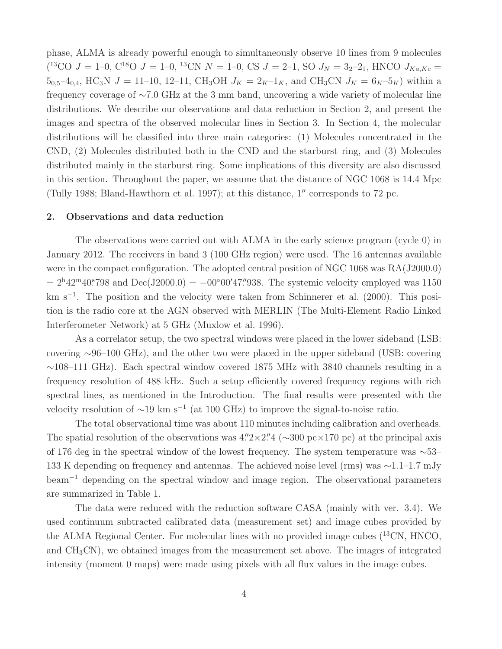phase, ALMA is already powerful enough to simultaneously observe 10 lines from 9 molecules (<sup>13</sup>CO J = 1–0, C<sup>18</sup>O J = 1–0, <sup>13</sup>CN N = 1–0, CS J = 2–1, SO J<sub>N</sub> = 3<sub>2</sub>–2<sub>1</sub>, HNCO J<sub>Ka,Kc</sub> =  $5_{0,5}$ -4<sub>0,4</sub>, HC<sub>3</sub>N  $J = 11$ -10, 12-11, CH<sub>3</sub>OH  $J_K = 2_K$ -1<sub>K</sub>, and CH<sub>3</sub>CN  $J_K = 6_K$ -5<sub>K</sub>) within a frequency coverage of ∼7.0 GHz at the 3 mm band, uncovering a wide variety of molecular line distributions. We describe our observations and data reduction in Section 2, and present the images and spectra of the observed molecular lines in Section 3. In Section 4, the molecular distributions will be classified into three main categories: (1) Molecules concentrated in the CND, (2) Molecules distributed both in the CND and the starburst ring, and (3) Molecules distributed mainly in the starburst ring. Some implications of this diversity are also discussed in this section. Throughout the paper, we assume that the distance of NGC 1068 is 14.4 Mpc (Tully 1988; Bland-Hawthorn et al. 1997); at this distance, 1′′ corresponds to 72 pc.

#### 2. Observations and data reduction

The observations were carried out with ALMA in the early science program (cycle 0) in January 2012. The receivers in band 3 (100 GHz region) were used. The 16 antennas available were in the compact configuration. The adopted central position of NGC 1068 was RA(J2000.0)  $= 2<sup>h</sup>42<sup>m</sup>40<sup>s</sup>798$  and  $Dec(J2000.0) = -00°00'47."938$ . The systemic velocity employed was 1150 km s<sup>−</sup><sup>1</sup> . The position and the velocity were taken from Schinnerer et al. (2000). This position is the radio core at the AGN observed with MERLIN (The Multi-Element Radio Linked Interferometer Network) at 5 GHz (Muxlow et al. 1996).

As a correlator setup, the two spectral windows were placed in the lower sideband (LSB: covering ∼96–100 GHz), and the other two were placed in the upper sideband (USB: covering ∼108–111 GHz). Each spectral window covered 1875 MHz with 3840 channels resulting in a frequency resolution of 488 kHz. Such a setup efficiently covered frequency regions with rich spectral lines, as mentioned in the Introduction. The final results were presented with the velocity resolution of  $\sim$ 19 km s<sup>-1</sup> (at 100 GHz) to improve the signal-to-noise ratio.

The total observational time was about 110 minutes including calibration and overheads. The spatial resolution of the observations was  $4.\overline{2} \times 2.\overline{2}$  ( $\sim$ 300 pc×170 pc) at the principal axis of 176 deg in the spectral window of the lowest frequency. The system temperature was ∼53– 133 K depending on frequency and antennas. The achieved noise level (rms) was ∼1.1–1.7 mJy beam<sup>−</sup><sup>1</sup> depending on the spectral window and image region. The observational parameters are summarized in Table 1.

The data were reduced with the reduction software CASA (mainly with ver. 3.4). We used continuum subtracted calibrated data (measurement set) and image cubes provided by the ALMA Regional Center. For molecular lines with no provided image cubes  $(^{13}CN, HNCO,$ and CH3CN), we obtained images from the measurement set above. The images of integrated intensity (moment 0 maps) were made using pixels with all flux values in the image cubes.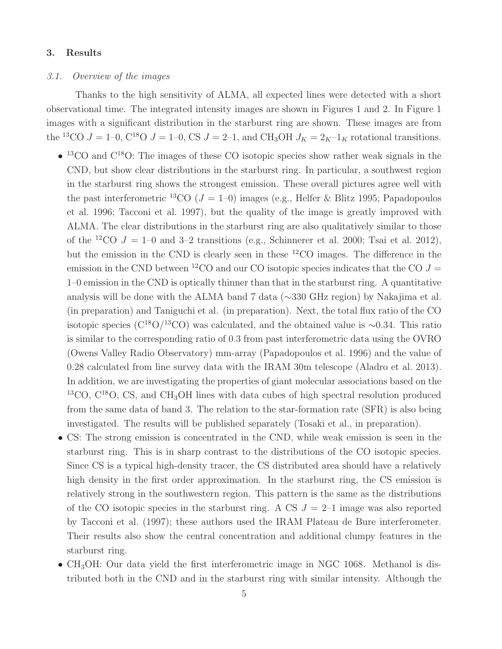#### 3. Results

## 3.1. Overview of the images

Thanks to the high sensitivity of ALMA, all expected lines were detected with a short observational time. The integrated intensity images are shown in Figures 1 and 2. In Figure 1 images with a significant distribution in the starburst ring are shown. These images are from the <sup>13</sup>CO  $J = 1-0$ , C<sup>18</sup>O  $J = 1-0$ , CS  $J = 2-1$ , and CH<sub>3</sub>OH  $J_K = 2<sub>K</sub>-1<sub>K</sub>$  rotational transitions.

- $\bullet$  <sup>13</sup>CO and C<sup>18</sup>O: The images of these CO isotopic species show rather weak signals in the CND, but show clear distributions in the starburst ring. In particular, a southwest region in the starburst ring shows the strongest emission. These overall pictures agree well with the past interferometric <sup>13</sup>CO ( $J = 1-0$ ) images (e.g., Helfer & Blitz 1995; Papadopoulos et al. 1996; Tacconi et al. 1997), but the quality of the image is greatly improved with ALMA. The clear distributions in the starburst ring are also qualitatively similar to those of the <sup>12</sup>CO  $J = 1$ –0 and 3–2 transitions (e.g., Schinnerer et al. 2000; Tsai et al. 2012), but the emission in the CND is clearly seen in these <sup>12</sup>CO images. The difference in the emission in the CND between <sup>12</sup>CO and our CO isotopic species indicates that the CO  $J =$ 1–0 emission in the CND is optically thinner than that in the starburst ring. A quantitative analysis will be done with the ALMA band 7 data (∼330 GHz region) by Nakajima et al. (in preparation) and Taniguchi et al. (in preparation). Next, the total flux ratio of the CO isotopic species ( $\rm C^{18}O/^{13}CO$ ) was calculated, and the obtained value is ∼0.34. This ratio is similar to the corresponding ratio of 0.3 from past interferometric data using the OVRO (Owens Valley Radio Observatory) mm-array (Papadopoulos et al. 1996) and the value of 0.28 calculated from line survey data with the IRAM 30m telescope (Aladro et al. 2013). In addition, we are investigating the properties of giant molecular associations based on the  $13^{\circ}$ CO, C<sup>18</sup>O, CS, and CH<sub>3</sub>OH lines with data cubes of high spectral resolution produced from the same data of band 3. The relation to the star-formation rate (SFR) is also being investigated. The results will be published separately (Tosaki et al., in preparation).
- CS: The strong emission is concentrated in the CND, while weak emission is seen in the starburst ring. This is in sharp contrast to the distributions of the CO isotopic species. Since CS is a typical high-density tracer, the CS distributed area should have a relatively high density in the first order approximation. In the starburst ring, the CS emission is relatively strong in the southwestern region. This pattern is the same as the distributions of the CO isotopic species in the starburst ring. A CS  $J = 2-1$  image was also reported by Tacconi et al. (1997); these authors used the IRAM Plateau de Bure interferometer. Their results also show the central concentration and additional clumpy features in the starburst ring.
- $CH_3OH$ : Our data yield the first interferometric image in NGC 1068. Methanol is distributed both in the CND and in the starburst ring with similar intensity. Although the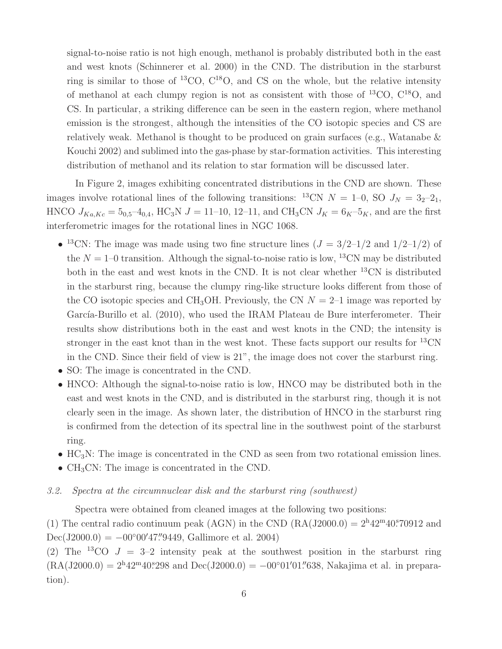signal-to-noise ratio is not high enough, methanol is probably distributed both in the east and west knots (Schinnerer et al. 2000) in the CND. The distribution in the starburst ring is similar to those of  ${}^{13}CO$ ,  $C^{18}O$ , and CS on the whole, but the relative intensity of methanol at each clumpy region is not as consistent with those of  ${}^{13}CO$ ,  $C^{18}O$ , and CS. In particular, a striking difference can be seen in the eastern region, where methanol emission is the strongest, although the intensities of the CO isotopic species and CS are relatively weak. Methanol is thought to be produced on grain surfaces (e.g., Watanabe & Kouchi 2002) and sublimed into the gas-phase by star-formation activities. This interesting distribution of methanol and its relation to star formation will be discussed later.

In Figure 2, images exhibiting concentrated distributions in the CND are shown. These images involve rotational lines of the following transitions: <sup>13</sup>CN  $N = 1-0$ , SO  $J<sub>N</sub> = 3<sub>2</sub>-2<sub>1</sub>$ , HNCO  $J_{Ka,Kc} = 5_{0,5} - 4_{0,4}$ , HC<sub>3</sub>N  $J = 11 - 10$ , 12-11, and CH<sub>3</sub>CN  $J_K = 6_K - 5_K$ , and are the first interferometric images for the rotational lines in NGC 1068.

- <sup>13</sup>CN: The image was made using two fine structure lines  $(J = 3/2 1/2$  and  $1/2 1/2$ ) of the  $N = 1$ –0 transition. Although the signal-to-noise ratio is low, <sup>13</sup>CN may be distributed both in the east and west knots in the CND. It is not clear whether <sup>13</sup>CN is distributed in the starburst ring, because the clumpy ring-like structure looks different from those of the CO isotopic species and CH<sub>3</sub>OH. Previously, the CN  $N = 2$ –1 image was reported by García-Burillo et al. (2010), who used the IRAM Plateau de Bure interferometer. Their results show distributions both in the east and west knots in the CND; the intensity is stronger in the east knot than in the west knot. These facts support our results for  $^{13}$ CN in the CND. Since their field of view is 21", the image does not cover the starburst ring.
- SO: The image is concentrated in the CND.
- HNCO: Although the signal-to-noise ratio is low, HNCO may be distributed both in the east and west knots in the CND, and is distributed in the starburst ring, though it is not clearly seen in the image. As shown later, the distribution of HNCO in the starburst ring is confirmed from the detection of its spectral line in the southwest point of the starburst ring.
- $HC_3N$ : The image is concentrated in the CND as seen from two rotational emission lines.
- $CH<sub>3</sub>CN$ : The image is concentrated in the CND.
- 3.2. Spectra at the circumnuclear disk and the starburst ring (southwest)

Spectra were obtained from cleaned images at the following two positions:

(1) The central radio continuum peak (AGN) in the CND  $(RA(J2000.0) = 2<sup>h</sup>42<sup>m</sup>40<sup>s</sup>70912$  and Dec(J2000.0) =  $-00^{\circ}00'47''9449$ , Gallimore et al. 2004)

(2) The <sup>13</sup>CO  $J = 3-2$  intensity peak at the southwest position in the starburst ring  $(RA(J2000.0) = 2<sup>h</sup>42<sup>m</sup>40<sup>s</sup>298$  and  $Dec(J2000.0) = -00°01'01''638$ , Nakajima et al. in preparation).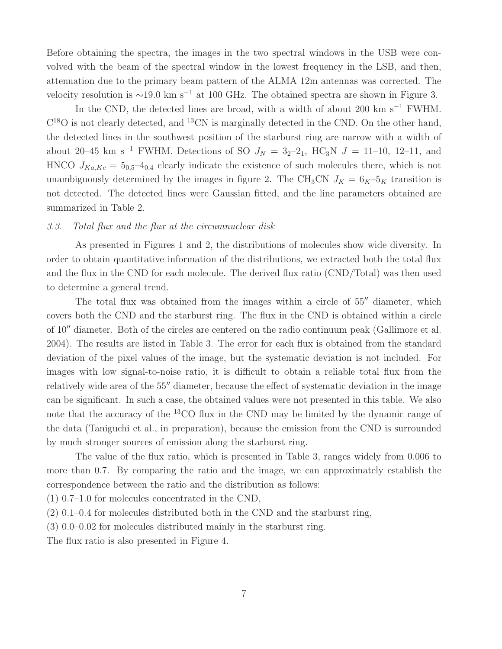Before obtaining the spectra, the images in the two spectral windows in the USB were convolved with the beam of the spectral window in the lowest frequency in the LSB, and then, attenuation due to the primary beam pattern of the ALMA 12m antennas was corrected. The velocity resolution is  $\sim$ 19.0 km s<sup>-1</sup> at 100 GHz. The obtained spectra are shown in Figure 3.

In the CND, the detected lines are broad, with a width of about 200 km s<sup> $-1$ </sup> FWHM.  $C^{18}O$  is not clearly detected, and <sup>13</sup>CN is marginally detected in the CND. On the other hand, the detected lines in the southwest position of the starburst ring are narrow with a width of about 20–45 km s<sup>-1</sup> FWHM. Detections of SO  $J<sub>N</sub> = 3<sub>2</sub>$ -2<sub>1</sub>, HC<sub>3</sub>N  $J = 11$ -10, 12–11, and HNCO  $J_{Ka,Kc} = 5_{0,5} - 4_{0,4}$  clearly indicate the existence of such molecules there, which is not unambiguously determined by the images in figure 2. The CH<sub>3</sub>CN  $J_K = 6_K-5_K$  transition is not detected. The detected lines were Gaussian fitted, and the line parameters obtained are summarized in Table 2.

#### 3.3. Total flux and the flux at the circumnuclear disk

As presented in Figures 1 and 2, the distributions of molecules show wide diversity. In order to obtain quantitative information of the distributions, we extracted both the total flux and the flux in the CND for each molecule. The derived flux ratio (CND/Total) was then used to determine a general trend.

The total flux was obtained from the images within a circle of 55<sup> $\prime\prime$ </sup> diameter, which covers both the CND and the starburst ring. The flux in the CND is obtained within a circle of 10′′ diameter. Both of the circles are centered on the radio continuum peak (Gallimore et al. 2004). The results are listed in Table 3. The error for each flux is obtained from the standard deviation of the pixel values of the image, but the systematic deviation is not included. For images with low signal-to-noise ratio, it is difficult to obtain a reliable total flux from the relatively wide area of the 55<sup>"</sup> diameter, because the effect of systematic deviation in the image can be significant. In such a case, the obtained values were not presented in this table. We also note that the accuracy of the  ${}^{13}CO$  flux in the CND may be limited by the dynamic range of the data (Taniguchi et al., in preparation), because the emission from the CND is surrounded by much stronger sources of emission along the starburst ring.

The value of the flux ratio, which is presented in Table 3, ranges widely from 0.006 to more than 0.7. By comparing the ratio and the image, we can approximately establish the correspondence between the ratio and the distribution as follows:

(1) 0.7–1.0 for molecules concentrated in the CND,

(2) 0.1–0.4 for molecules distributed both in the CND and the starburst ring,

(3) 0.0–0.02 for molecules distributed mainly in the starburst ring.

The flux ratio is also presented in Figure 4.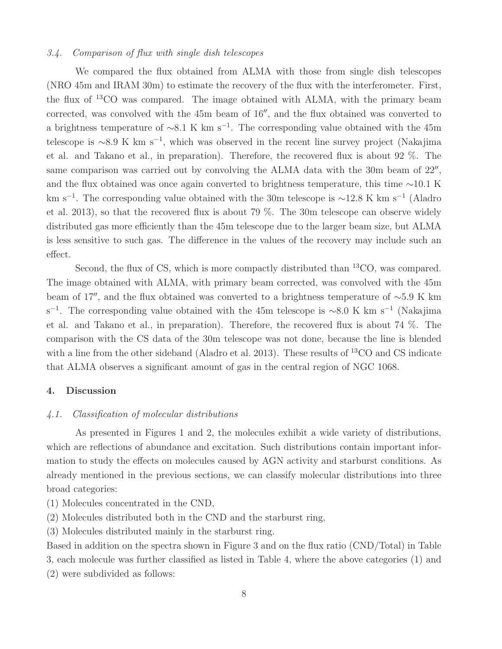## 3.4. Comparison of flux with single dish telescopes

We compared the flux obtained from ALMA with those from single dish telescopes (NRO 45m and IRAM 30m) to estimate the recovery of the flux with the interferometer. First, the flux of <sup>13</sup>CO was compared. The image obtained with ALMA, with the primary beam corrected, was convolved with the 45m beam of 16′′, and the flux obtained was converted to a brightness temperature of  $\sim 8.1 \text{ K km s}^{-1}$ . The corresponding value obtained with the 45m telescope is ∼8.9 K km s<sup>−</sup><sup>1</sup> , which was observed in the recent line survey project (Nakajima et al. and Takano et al., in preparation). Therefore, the recovered flux is about 92 %. The same comparison was carried out by convolving the ALMA data with the 30m beam of  $22''$ , and the flux obtained was once again converted to brightness temperature, this time ∼10.1 K km s<sup>−</sup><sup>1</sup> . The corresponding value obtained with the 30m telescope is ∼12.8 K km s<sup>−</sup><sup>1</sup> (Aladro et al. 2013), so that the recovered flux is about 79 %. The 30m telescope can observe widely distributed gas more efficiently than the 45m telescope due to the larger beam size, but ALMA is less sensitive to such gas. The difference in the values of the recovery may include such an effect.

Second, the flux of CS, which is more compactly distributed than <sup>13</sup>CO, was compared. The image obtained with ALMA, with primary beam corrected, was convolved with the 45m beam of 17′′, and the flux obtained was converted to a brightness temperature of ∼5.9 K km s<sup>-1</sup>. The corresponding value obtained with the 45m telescope is ~8.0 K km s<sup>-1</sup> (Nakajima et al. and Takano et al., in preparation). Therefore, the recovered flux is about 74 %. The comparison with the CS data of the 30m telescope was not done, because the line is blended with a line from the other sideband (Aladro et al. 2013). These results of <sup>13</sup>CO and CS indicate that ALMA observes a significant amount of gas in the central region of NGC 1068.

#### 4. Discussion

## 4.1. Classification of molecular distributions

As presented in Figures 1 and 2, the molecules exhibit a wide variety of distributions, which are reflections of abundance and excitation. Such distributions contain important information to study the effects on molecules caused by AGN activity and starburst conditions. As already mentioned in the previous sections, we can classify molecular distributions into three broad categories:

(1) Molecules concentrated in the CND,

(2) Molecules distributed both in the CND and the starburst ring,

(3) Molecules distributed mainly in the starburst ring.

Based in addition on the spectra shown in Figure 3 and on the flux ratio (CND/Total) in Table 3, each molecule was further classified as listed in Table 4, where the above categories (1) and (2) were subdivided as follows: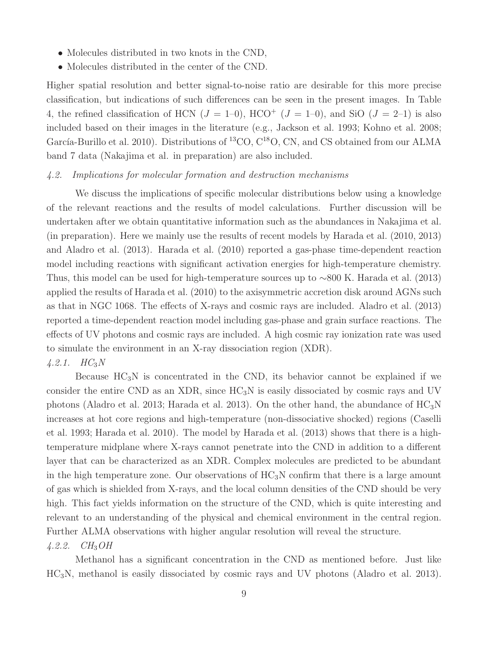- Molecules distributed in two knots in the CND,
- Molecules distributed in the center of the CND.

Higher spatial resolution and better signal-to-noise ratio are desirable for this more precise classification, but indications of such differences can be seen in the present images. In Table 4, the refined classification of HCN  $(J = 1-0)$ , HCO<sup>+</sup>  $(J = 1-0)$ , and SiO  $(J = 2-1)$  is also included based on their images in the literature (e.g., Jackson et al. 1993; Kohno et al. 2008; García-Burillo et al. 2010). Distributions of <sup>13</sup>CO,  $C^{18}O$ , CN, and CS obtained from our ALMA band 7 data (Nakajima et al. in preparation) are also included.

### 4.2. Implications for molecular formation and destruction mechanisms

We discuss the implications of specific molecular distributions below using a knowledge of the relevant reactions and the results of model calculations. Further discussion will be undertaken after we obtain quantitative information such as the abundances in Nakajima et al. (in preparation). Here we mainly use the results of recent models by Harada et al. (2010, 2013) and Aladro et al. (2013). Harada et al. (2010) reported a gas-phase time-dependent reaction model including reactions with significant activation energies for high-temperature chemistry. Thus, this model can be used for high-temperature sources up to ∼800 K. Harada et al. (2013) applied the results of Harada et al. (2010) to the axisymmetric accretion disk around AGNs such as that in NGC 1068. The effects of X-rays and cosmic rays are included. Aladro et al. (2013) reported a time-dependent reaction model including gas-phase and grain surface reactions. The effects of UV photons and cosmic rays are included. A high cosmic ray ionization rate was used to simulate the environment in an X-ray dissociation region (XDR).  $4.2.1. \quad H C_3 N$ 

Because  $HC_3N$  is concentrated in the CND, its behavior cannot be explained if we consider the entire CND as an XDR, since  $HC_3N$  is easily dissociated by cosmic rays and UV photons (Aladro et al. 2013; Harada et al. 2013). On the other hand, the abundance of  $HC_3N$ increases at hot core regions and high-temperature (non-dissociative shocked) regions (Caselli et al. 1993; Harada et al. 2010). The model by Harada et al. (2013) shows that there is a hightemperature midplane where X-rays cannot penetrate into the CND in addition to a different layer that can be characterized as an XDR. Complex molecules are predicted to be abundant in the high temperature zone. Our observations of  $HC_3N$  confirm that there is a large amount of gas which is shielded from X-rays, and the local column densities of the CND should be very high. This fact yields information on the structure of the CND, which is quite interesting and relevant to an understanding of the physical and chemical environment in the central region. Further ALMA observations with higher angular resolution will reveal the structure.

## $4.2.2.$   $CH_3OH$

Methanol has a significant concentration in the CND as mentioned before. Just like HC3N, methanol is easily dissociated by cosmic rays and UV photons (Aladro et al. 2013).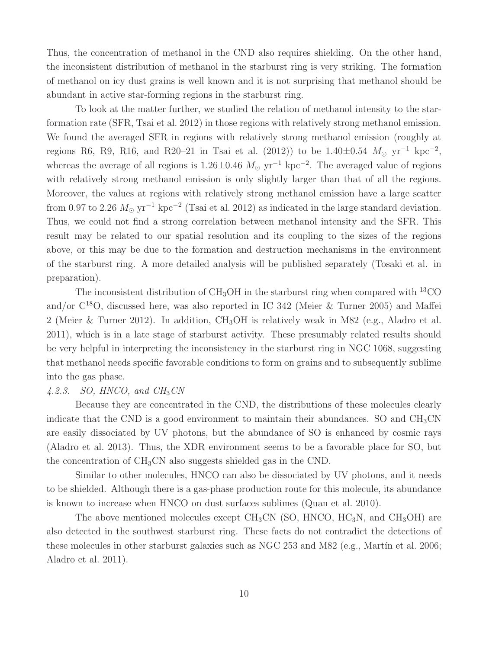Thus, the concentration of methanol in the CND also requires shielding. On the other hand, the inconsistent distribution of methanol in the starburst ring is very striking. The formation of methanol on icy dust grains is well known and it is not surprising that methanol should be abundant in active star-forming regions in the starburst ring.

To look at the matter further, we studied the relation of methanol intensity to the starformation rate (SFR, Tsai et al. 2012) in those regions with relatively strong methanol emission. We found the averaged SFR in regions with relatively strong methanol emission (roughly at regions R6, R9, R16, and R20–21 in Tsai et al. (2012)) to be 1.40±0.54  $M_{\odot}$  yr<sup>-1</sup> kpc<sup>-2</sup>, whereas the average of all regions is 1.26 $\pm$ 0.46  $M_{\odot}$  yr<sup>-1</sup> kpc<sup>-2</sup>. The averaged value of regions with relatively strong methanol emission is only slightly larger than that of all the regions. Moreover, the values at regions with relatively strong methanol emission have a large scatter from 0.97 to 2.26  $M_{\odot}$  yr<sup>-1</sup> kpc<sup>-2</sup> (Tsai et al. 2012) as indicated in the large standard deviation. Thus, we could not find a strong correlation between methanol intensity and the SFR. This result may be related to our spatial resolution and its coupling to the sizes of the regions above, or this may be due to the formation and destruction mechanisms in the environment of the starburst ring. A more detailed analysis will be published separately (Tosaki et al. in preparation).

The inconsistent distribution of  $CH_3OH$  in the starburst ring when compared with <sup>13</sup>CO and/or C<sup>18</sup>O, discussed here, was also reported in IC 342 (Meier & Turner 2005) and Maffei 2 (Meier & Turner 2012). In addition, CH3OH is relatively weak in M82 (e.g., Aladro et al. 2011), which is in a late stage of starburst activity. These presumably related results should be very helpful in interpreting the inconsistency in the starburst ring in NGC 1068, suggesting that methanol needs specific favorable conditions to form on grains and to subsequently sublime into the gas phase.

### $4.2.3.$  SO, HNCO, and  $CH<sub>3</sub>CN$

Because they are concentrated in the CND, the distributions of these molecules clearly indicate that the CND is a good environment to maintain their abundances. SO and  $CH<sub>3</sub>CN$ are easily dissociated by UV photons, but the abundance of SO is enhanced by cosmic rays (Aladro et al. 2013). Thus, the XDR environment seems to be a favorable place for SO, but the concentration of  $CH<sub>3</sub>CN$  also suggests shielded gas in the CND.

Similar to other molecules, HNCO can also be dissociated by UV photons, and it needs to be shielded. Although there is a gas-phase production route for this molecule, its abundance is known to increase when HNCO on dust surfaces sublimes (Quan et al. 2010).

The above mentioned molecules except  $CH_3CN$  (SO, HNCO, HC<sub>3</sub>N, and CH<sub>3</sub>OH) are also detected in the southwest starburst ring. These facts do not contradict the detections of these molecules in other starburst galaxies such as NGC 253 and M82 (e.g., Mart $\acute{u}$ n et al. 2006; Aladro et al. 2011).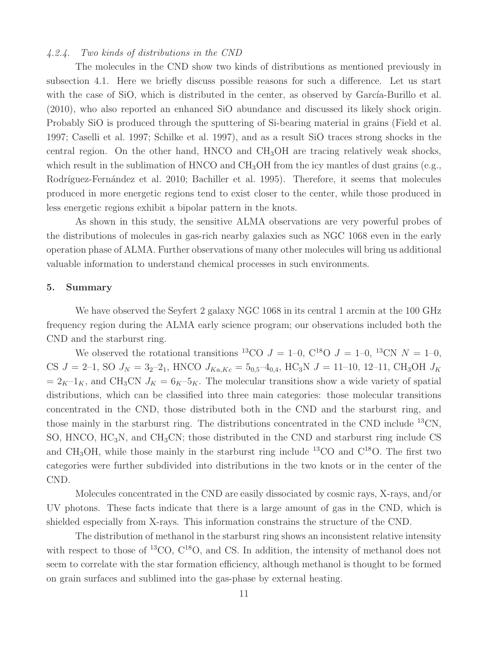#### 4.2.4. Two kinds of distributions in the CND

The molecules in the CND show two kinds of distributions as mentioned previously in subsection 4.1. Here we briefly discuss possible reasons for such a difference. Let us start with the case of SiO, which is distributed in the center, as observed by García-Burillo et al. (2010), who also reported an enhanced SiO abundance and discussed its likely shock origin. Probably SiO is produced through the sputtering of Si-bearing material in grains (Field et al. 1997; Caselli et al. 1997; Schilke et al. 1997), and as a result SiO traces strong shocks in the central region. On the other hand,  $HNCO$  and  $CH<sub>3</sub>OH$  are tracing relatively weak shocks, which result in the sublimation of HNCO and  $CH<sub>3</sub>OH$  from the icy mantles of dust grains (e.g., Rodríguez-Fernández et al. 2010; Bachiller et al. 1995). Therefore, it seems that molecules produced in more energetic regions tend to exist closer to the center, while those produced in less energetic regions exhibit a bipolar pattern in the knots.

As shown in this study, the sensitive ALMA observations are very powerful probes of the distributions of molecules in gas-rich nearby galaxies such as NGC 1068 even in the early operation phase of ALMA. Further observations of many other molecules will bring us additional valuable information to understand chemical processes in such environments.

#### 5. Summary

We have observed the Seyfert 2 galaxy NGC 1068 in its central 1 arcmin at the 100 GHz frequency region during the ALMA early science program; our observations included both the CND and the starburst ring.

We observed the rotational transitions <sup>13</sup>CO  $J = 1-0$ , C<sup>18</sup>O  $J = 1-0$ , <sup>13</sup>CN  $N = 1-0$ , CS  $J = 2-1$ , SO  $J_N = 32-21$ , HNCO  $J_{Ka,Kc} = 502-40.4$ , HC<sub>3</sub>N  $J = 11-10$ , 12-11, CH<sub>3</sub>OH  $J_K$  $= 2<sub>K</sub>-1<sub>K</sub>$ , and CH<sub>3</sub>CN  $J<sub>K</sub> = 6<sub>K</sub>-5<sub>K</sub>$ . The molecular transitions show a wide variety of spatial distributions, which can be classified into three main categories: those molecular transitions concentrated in the CND, those distributed both in the CND and the starburst ring, and those mainly in the starburst ring. The distributions concentrated in the CND include <sup>13</sup>CN, SO, HNCO,  $HC_3N$ , and  $CH_3CN$ ; those distributed in the CND and starburst ring include CS and CH<sub>3</sub>OH, while those mainly in the starburst ring include <sup>13</sup>CO and  $C^{18}O$ . The first two categories were further subdivided into distributions in the two knots or in the center of the CND.

Molecules concentrated in the CND are easily dissociated by cosmic rays, X-rays, and/or UV photons. These facts indicate that there is a large amount of gas in the CND, which is shielded especially from X-rays. This information constrains the structure of the CND.

The distribution of methanol in the starburst ring shows an inconsistent relative intensity with respect to those of  ${}^{13}CO$ ,  $C^{18}O$ , and CS. In addition, the intensity of methanol does not seem to correlate with the star formation efficiency, although methanol is thought to be formed on grain surfaces and sublimed into the gas-phase by external heating.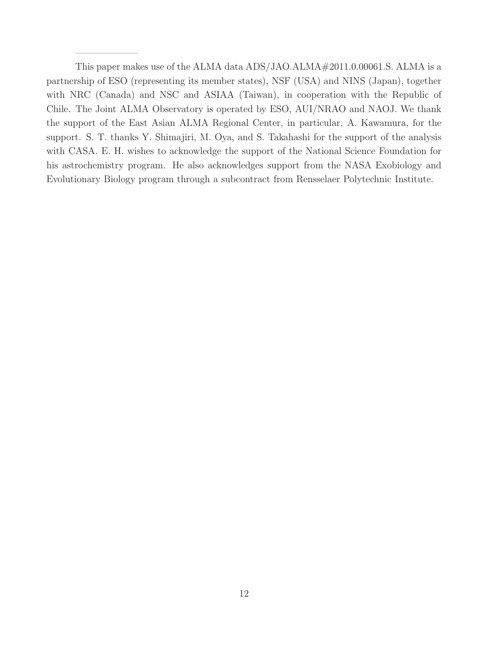This paper makes use of the ALMA data ADS/JAO.ALMA $#2011.0.00061$ .S. ALMA is a partnership of ESO (representing its member states), NSF (USA) and NINS (Japan), together with NRC (Canada) and NSC and ASIAA (Taiwan), in cooperation with the Republic of Chile. The Joint ALMA Observatory is operated by ESO, AUI/NRAO and NAOJ. We thank the support of the East Asian ALMA Regional Center, in particular, A. Kawamura, for the support. S. T. thanks Y. Shimajiri, M. Oya, and S. Takahashi for the support of the analysis with CASA. E. H. wishes to acknowledge the support of the National Science Foundation for his astrochemistry program. He also acknowledges support from the NASA Exobiology and Evolutionary Biology program through a subcontract from Rensselaer Polytechnic Institute.

——————–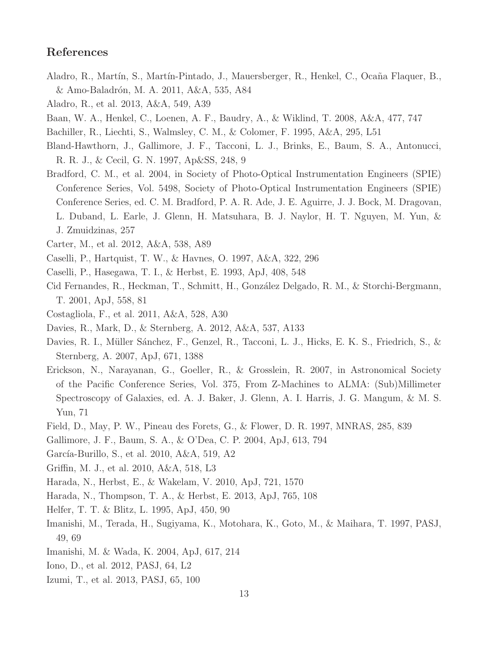## References

- Aladro, R., Martín, S., Martín-Pintado, J., Mauersberger, R., Henkel, C., Ocaña Flaquer, B., & Amo-Baladrón, M. A. 2011, A&A, 535, A84
- Aladro, R., et al. 2013, A&A, 549, A39
- Baan, W. A., Henkel, C., Loenen, A. F., Baudry, A., & Wiklind, T. 2008, A&A, 477, 747
- Bachiller, R., Liechti, S., Walmsley, C. M., & Colomer, F. 1995, A&A, 295, L51
- Bland-Hawthorn, J., Gallimore, J. F., Tacconi, L. J., Brinks, E., Baum, S. A., Antonucci, R. R. J., & Cecil, G. N. 1997, Ap&SS, 248, 9
- Bradford, C. M., et al. 2004, in Society of Photo-Optical Instrumentation Engineers (SPIE) Conference Series, Vol. 5498, Society of Photo-Optical Instrumentation Engineers (SPIE) Conference Series, ed. C. M. Bradford, P. A. R. Ade, J. E. Aguirre, J. J. Bock, M. Dragovan, L. Duband, L. Earle, J. Glenn, H. Matsuhara, B. J. Naylor, H. T. Nguyen, M. Yun, & J. Zmuidzinas, 257
- Carter, M., et al. 2012, A&A, 538, A89
- Caselli, P., Hartquist, T. W., & Havnes, O. 1997, A&A, 322, 296
- Caselli, P., Hasegawa, T. I., & Herbst, E. 1993, ApJ, 408, 548
- Cid Fernandes, R., Heckman, T., Schmitt, H., González Delgado, R. M., & Storchi-Bergmann, T. 2001, ApJ, 558, 81
- Costagliola, F., et al. 2011, A&A, 528, A30
- Davies, R., Mark, D., & Sternberg, A. 2012, A&A, 537, A133
- Davies, R. I., Müller Sánchez, F., Genzel, R., Tacconi, L. J., Hicks, E. K. S., Friedrich, S., & Sternberg, A. 2007, ApJ, 671, 1388
- Erickson, N., Narayanan, G., Goeller, R., & Grosslein, R. 2007, in Astronomical Society of the Pacific Conference Series, Vol. 375, From Z-Machines to ALMA: (Sub)Millimeter Spectroscopy of Galaxies, ed. A. J. Baker, J. Glenn, A. I. Harris, J. G. Mangum, & M. S. Yun, 71
- Field, D., May, P. W., Pineau des Forets, G., & Flower, D. R. 1997, MNRAS, 285, 839
- Gallimore, J. F., Baum, S. A., & O'Dea, C. P. 2004, ApJ, 613, 794
- García-Burillo, S., et al. 2010, A&A, 519, A2
- Griffin, M. J., et al. 2010, A&A, 518, L3
- Harada, N., Herbst, E., & Wakelam, V. 2010, ApJ, 721, 1570
- Harada, N., Thompson, T. A., & Herbst, E. 2013, ApJ, 765, 108
- Helfer, T. T. & Blitz, L. 1995, ApJ, 450, 90
- Imanishi, M., Terada, H., Sugiyama, K., Motohara, K., Goto, M., & Maihara, T. 1997, PASJ, 49, 69
- Imanishi, M. & Wada, K. 2004, ApJ, 617, 214
- Iono, D., et al. 2012, PASJ, 64, L2
- Izumi, T., et al. 2013, PASJ, 65, 100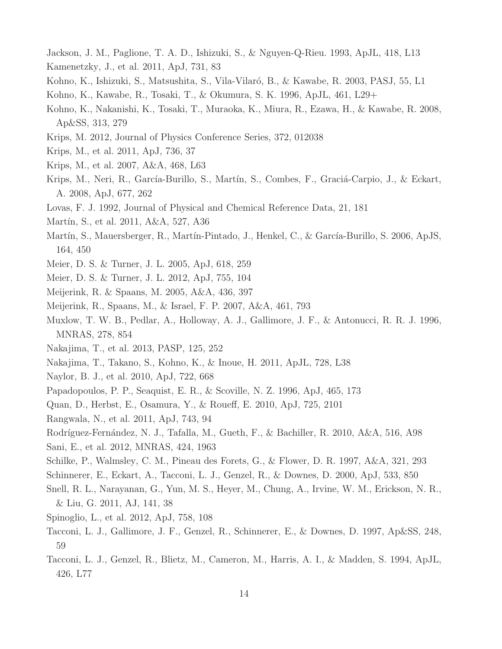- Jackson, J. M., Paglione, T. A. D., Ishizuki, S., & Nguyen-Q-Rieu. 1993, ApJL, 418, L13
- Kamenetzky, J., et al. 2011, ApJ, 731, 83
- Kohno, K., Ishizuki, S., Matsushita, S., Vila-Vilaró, B., & Kawabe, R. 2003, PASJ, 55, L1
- Kohno, K., Kawabe, R., Tosaki, T., & Okumura, S. K. 1996, ApJL, 461, L29+
- Kohno, K., Nakanishi, K., Tosaki, T., Muraoka, K., Miura, R., Ezawa, H., & Kawabe, R. 2008, Ap&SS, 313, 279
- Krips, M. 2012, Journal of Physics Conference Series, 372, 012038
- Krips, M., et al. 2011, ApJ, 736, 37
- Krips, M., et al. 2007, A&A, 468, L63
- Krips, M., Neri, R., García-Burillo, S., Martín, S., Combes, F., Graciá-Carpio, J., & Eckart, A. 2008, ApJ, 677, 262
- Lovas, F. J. 1992, Journal of Physical and Chemical Reference Data, 21, 181
- Martín, S., et al. 2011, A&A, 527, A36
- Martín, S., Mauersberger, R., Martín-Pintado, J., Henkel, C., & García-Burillo, S. 2006, ApJS, 164, 450
- Meier, D. S. & Turner, J. L. 2005, ApJ, 618, 259
- Meier, D. S. & Turner, J. L. 2012, ApJ, 755, 104
- Meijerink, R. & Spaans, M. 2005, A&A, 436, 397
- Meijerink, R., Spaans, M., & Israel, F. P. 2007, A&A, 461, 793
- Muxlow, T. W. B., Pedlar, A., Holloway, A. J., Gallimore, J. F., & Antonucci, R. R. J. 1996, MNRAS, 278, 854
- Nakajima, T., et al. 2013, PASP, 125, 252
- Nakajima, T., Takano, S., Kohno, K., & Inoue, H. 2011, ApJL, 728, L38
- Naylor, B. J., et al. 2010, ApJ, 722, 668
- Papadopoulos, P. P., Seaquist, E. R., & Scoville, N. Z. 1996, ApJ, 465, 173
- Quan, D., Herbst, E., Osamura, Y., & Roueff, E. 2010, ApJ, 725, 2101
- Rangwala, N., et al. 2011, ApJ, 743, 94
- Rodríguez-Fernández, N. J., Tafalla, M., Gueth, F., & Bachiller, R. 2010, A&A, 516, A98
- Sani, E., et al. 2012, MNRAS, 424, 1963
- Schilke, P., Walmsley, C. M., Pineau des Forets, G., & Flower, D. R. 1997, A&A, 321, 293
- Schinnerer, E., Eckart, A., Tacconi, L. J., Genzel, R., & Downes, D. 2000, ApJ, 533, 850
- Snell, R. L., Narayanan, G., Yun, M. S., Heyer, M., Chung, A., Irvine, W. M., Erickson, N. R., & Liu, G. 2011, AJ, 141, 38
- Spinoglio, L., et al. 2012, ApJ, 758, 108
- Tacconi, L. J., Gallimore, J. F., Genzel, R., Schinnerer, E., & Downes, D. 1997, Ap&SS, 248, 59
- Tacconi, L. J., Genzel, R., Blietz, M., Cameron, M., Harris, A. I., & Madden, S. 1994, ApJL, 426, L77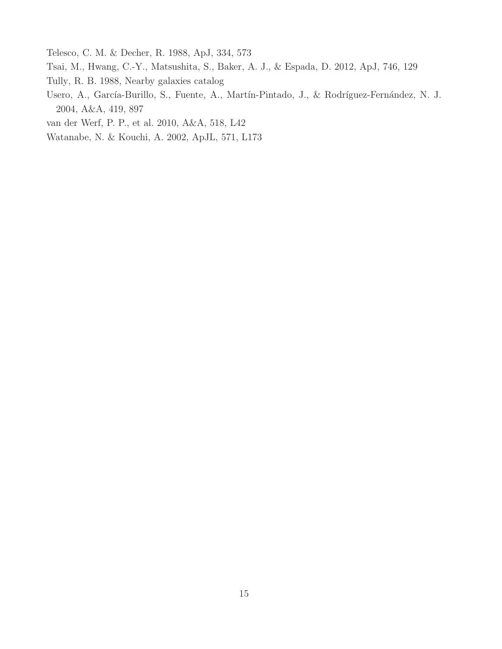Telesco, C. M. & Decher, R. 1988, ApJ, 334, 573

- Tsai, M., Hwang, C.-Y., Matsushita, S., Baker, A. J., & Espada, D. 2012, ApJ, 746, 129
- Tully, R. B. 1988, Nearby galaxies catalog
- Usero, A., García-Burillo, S., Fuente, A., Martín-Pintado, J., & Rodríguez-Fernández, N. J. 2004, A&A, 419, 897
- van der Werf, P. P., et al. 2010, A&A, 518, L42
- Watanabe, N. & Kouchi, A. 2002, ApJL, 571, L173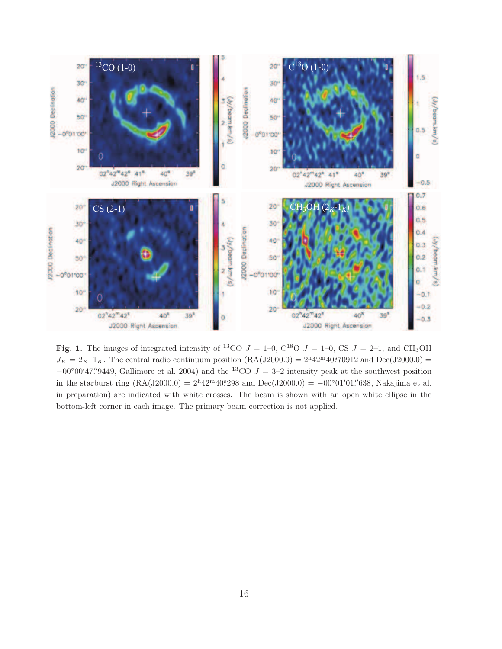

Fig. 1. The images of integrated intensity of <sup>13</sup>CO  $J = 1-0$ , C<sup>18</sup>O  $J = 1-0$ , CS  $J = 2-1$ , and CH<sub>3</sub>OH  $J_K = 2_K - 1_K$ . The central radio continuum position  $(RA(J2000.0) = 2^h 42^m 40^s 70912$  and  $Dec(J2000.0) =$  $-00°00'47''9449$ , Gallimore et al. 2004) and the <sup>13</sup>CO  $J = 3-2$  intensity peak at the southwest position in the starburst ring  $(RA(J2000.0) = 2^h 42^m 40^s 298$  and  $Dec(J2000.0) = -00°01'01''638$ , Nakajima et al. in preparation) are indicated with white crosses. The beam is shown with an open white ellipse in the bottom-left corner in each image. The primary beam correction is not applied.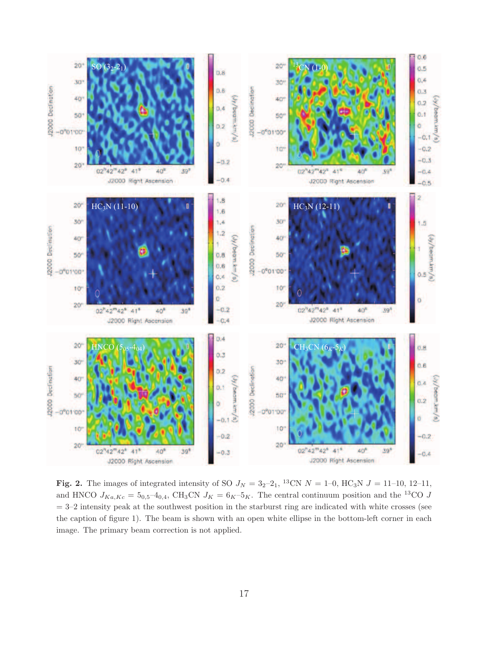

**Fig. 2.** The images of integrated intensity of SO  $J_N = 32-21$ , <sup>13</sup>CN  $N = 1-0$ , HC<sub>3</sub>N  $J = 11-10$ , 12-11, and HNCO  $J_{Ka,Kc} = 5_{0,5} - 4_{0,4}$ , CH<sub>3</sub>CN  $J_K = 6_K - 5_K$ . The central continuum position and the <sup>13</sup>CO J  $=$  3–2 intensity peak at the southwest position in the starburst ring are indicated with white crosses (see the caption of figure 1). The beam is shown with an open white ellipse in the bottom-left corner in each image. The primary beam correction is not applied.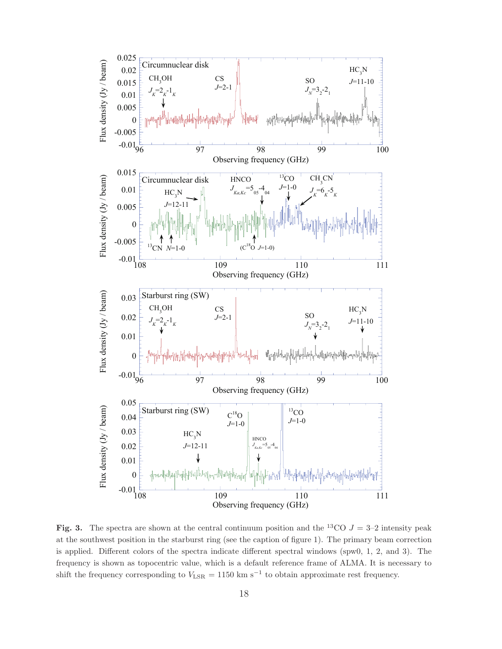

Fig. 3. The spectra are shown at the central continuum position and the <sup>13</sup>CO  $J = 3-2$  intensity peak at the southwest position in the starburst ring (see the caption of figure 1). The primary beam correction is applied. Different colors of the spectra indicate different spectral windows (spw0, 1, 2, and 3). The frequency is shown as topocentric value, which is a default reference frame of ALMA. It is necessary to shift the frequency corresponding to  $V_{\text{LSR}} = 1150 \text{ km s}^{-1}$  to obtain approximate rest frequency.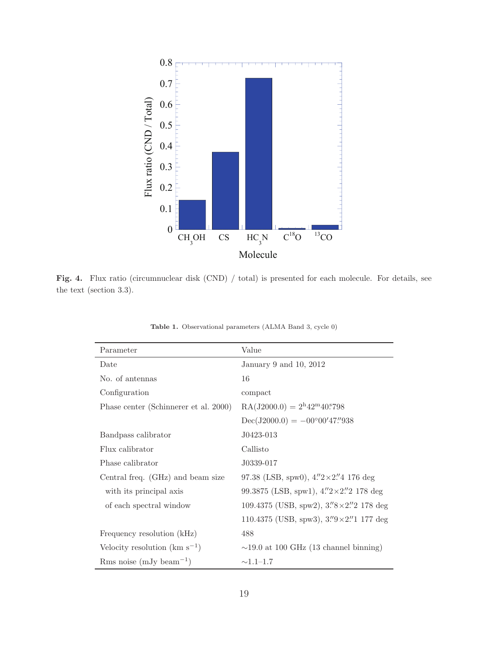

Fig. 4. Flux ratio (circumnuclear disk (CND) / total) is presented for each molecule. For details, see the text (section 3.3).

| Parameter                               | Value                                                            |
|-----------------------------------------|------------------------------------------------------------------|
| Date                                    | January 9 and 10, 2012                                           |
| No. of antennas                         | 16                                                               |
| Configuration                           | compact                                                          |
| Phase center (Schinnerer et al. 2000)   | $RA(J2000.0) = 2^{h}42^{m}40.798$                                |
|                                         | $Dec(J2000.0) = -00^{\circ}00'47''938$                           |
| Bandpass calibrator                     | J0423-013                                                        |
| Flux calibrator                         | Callisto                                                         |
| Phase calibrator                        | J0339-017                                                        |
| Central freq. (GHz) and beam size       | 97.38 (LSB, spw0), $4\frac{7}{2} \times 2\frac{7}{4}$ 176 deg    |
| with its principal axis                 | 99.3875 (LSB, spw1), $4\frac{7}{2} \times 2\frac{7}{2}$ 178 deg  |
| of each spectral window                 | 109.4375 (USB, spw2), $3\frac{7}{8} \times 2\frac{7}{2}$ 178 deg |
|                                         | 110.4375 (USB, spw3), $3\frac{7}{9} \times 2\frac{7}{1}$ 177 deg |
| Frequency resolution (kHz)              | 488                                                              |
| Velocity resolution ( $\rm km~s^{-1}$ ) | $\sim$ 19.0 at 100 GHz (13 channel binning)                      |
| Rms noise $(mJy beam^{-1})$             | $\sim$ 1.1–1.7                                                   |

Table 1. Observational parameters (ALMA Band 3, cycle 0)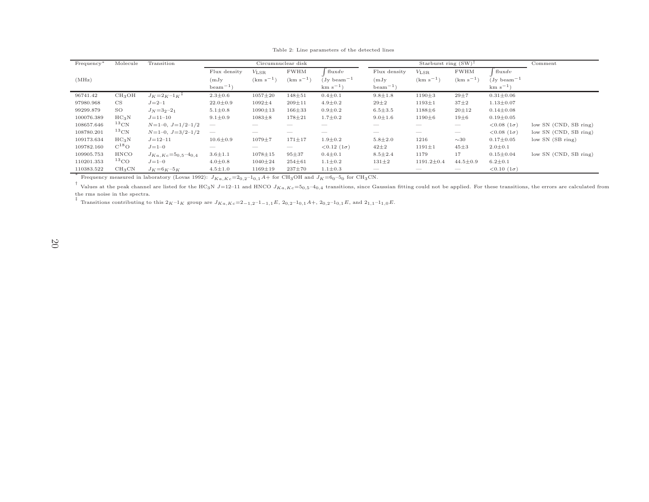| Frequency <sup>*</sup>                                                                                                                          | Molecule           | Transition                     |                          | Circumnuclear disk       |               |                          | Starburst ring $(SW)^{\dagger}$ |                          |                          | Comment                  |                       |
|-------------------------------------------------------------------------------------------------------------------------------------------------|--------------------|--------------------------------|--------------------------|--------------------------|---------------|--------------------------|---------------------------------|--------------------------|--------------------------|--------------------------|-----------------------|
|                                                                                                                                                 |                    |                                | Flux density             | $V_{\rm LSR}$            | <b>FWHM</b>   | flux dv                  | Flux density                    | $V_{\rm LSR}$            | <b>FWHM</b>              | flux dv                  |                       |
| (MHz)                                                                                                                                           |                    |                                | (mJy)                    | $(km s^{-1})$            | $(km s^{-1})$ | $(Jy \text{ beam}^{-1})$ | (mJy)                           | $(km s-1)$               | $(km s^{-1})$            | $(Jy \text{ beam}^{-1})$ |                       |
|                                                                                                                                                 |                    |                                | $\text{beam}^{-1}$ )     |                          |               | $km s^{-1}$              | $beam^{-1}$                     |                          |                          | $km s^{-1}$              |                       |
| 96741.42                                                                                                                                        | CH <sub>3</sub> OH | $J_K = 2_K - 1_K$ <sup>+</sup> | $2.3 \pm 0.6$            | $1057 \pm 20$            | $148 + 51$    | $0.4 \pm 0.1$            | $9.8 \pm 1.8$                   | $1190 \pm 3$             | $29 + 7$                 | $0.31 \pm 0.06$          |                       |
| 97980.968                                                                                                                                       | <b>CS</b>          | $J = 2 - 1$                    | $22.0 \pm 0.9$           | $1092 \pm 4$             | $209 + 11$    | $4.9 \pm 0.2$            | $29 + 2$                        | $1193 \pm 1$             | $37 + 2$                 | $1.13 \pm 0.07$          |                       |
| 99299.879                                                                                                                                       | SO                 | $J_N = 32 - 21$                | $5.1 \pm 0.8$            | $1090 \pm 13$            | $166 + 33$    | $0.9 \pm 0.2$            | $6.5 \pm 3.5$                   | $1188 + 6$               | $20 + 12$                | $0.14 \pm 0.08$          |                       |
| 100076.389                                                                                                                                      | $HC_3N$            | $J = 11 - 10$                  | $9.1 \pm 0.9$            | $1083 + 8$               | $178 + 21$    | $1.7 \pm 0.2$            | $9.0 \pm 1.6$                   | $1190 \pm 6$             | $19\pm6$                 | $0.19 \pm 0.05$          |                       |
| 108657.646                                                                                                                                      | $^{13}$ CN         | $N=1-0, J=1/2-1/2$             | $\overline{\phantom{a}}$ |                          |               |                          |                                 |                          | $\frac{1}{2}$            | $< 0.08(1\sigma)$        | low SN (CND, SB ring) |
| 108780.201                                                                                                                                      | $^{13}$ CN         | $N=1-0, J=3/2-1/2$             | $\hspace{0.05cm}$        | $-$                      |               |                          |                                 | $\overline{\phantom{a}}$ | $\overline{\phantom{a}}$ | $< 0.08(1\sigma)$        | low SN (CND, SB ring) |
| 109173.634                                                                                                                                      | $HC_3N$            | $J = 12 - 11$                  | $10.6 \pm 0.9$           | $1079 + 7$               | $171 + 17$    | $1.9 \pm 0.2$            | $5.8 \pm 2.0$                   | 1216                     | $\sim$ 30                | $0.17 \pm 0.05$          | low SN (SB ring)      |
| 109782.160                                                                                                                                      | $C^{18}O$          | $J = 1 - 0$                    | $-$                      | $\overline{\phantom{a}}$ |               | $< 0.12(1\sigma)$        | $42 + 2$                        | $1191 \pm 1$             | $45 \pm 3$               | $2.0 \pm 0.1$            |                       |
| 109905.753                                                                                                                                      | HNCO               | $J_{Ka,Kc} = 50,5-40,4$        | $3.6 \pm 1.1$            | $1078 \pm 15$            | $95 + 37$     | $0.4 \pm 0.1$            | $8.5 \pm 2.4$                   | 1179                     | 17                       | $0.15 \pm 0.04$          | low SN (CND, SB ring) |
| 110201.353                                                                                                                                      | $^{13}$ CO         | $J = 1 - 0$                    | $4.0 \pm 0.8$            | $1040 \pm 24$            | $254 + 61$    | $1.1 \pm 0.2$            | $131 \pm 2$                     | $1191.2 \pm 0.4$         | $44.5 \pm 0.9$           | $6.2 \pm 0.1$            |                       |
| 110383.522                                                                                                                                      | $CH_3CN$           | $J_K = 6K - 5K$                | $4.5 \pm 1.0$            | $1169 \pm 19$            | $237 \pm 70$  | $1.1 \pm 0.3$            |                                 |                          |                          | $< 0.10 (1\sigma)$       |                       |
| Frequency measured in laboratory (Lovas 1992): $J_{Ka,Kc} = 20.2 - 10.1 A +$ for CH <sub>3</sub> OH and $J_K = 60 - 50$ for CH <sub>3</sub> CN. |                    |                                |                          |                          |               |                          |                                 |                          |                          |                          |                       |

Table 2: Line parameters of the detected lines

Frequency measured in laboratory (Lovas 1992):  $J_{Ka,Kc} = 20,2^{-1}0,1A+$  for CH<sub>3</sub>OH and  $J_K = 60-50$  for CH<sub>3</sub>CN.<br><sup>†</sup> Values at the peak channel are listed for the HC<sub>3</sub>N J=12-11 and HNCO  $J_{Ka,Kc} = 50,5-40,4$  transitions, sin

<sup>‡</sup> Transitions contributing to this  $2_K-1_K$  group are  $J_{Ka,Kc}=2_{-1,2}-1_{-1,1}E$ ,  $2_{0,2}-1_{0,1}A$ +,  $2_{0,2}-1_{0,1}E$ , and  $2_{1,1}-1_{1,0}E$ .